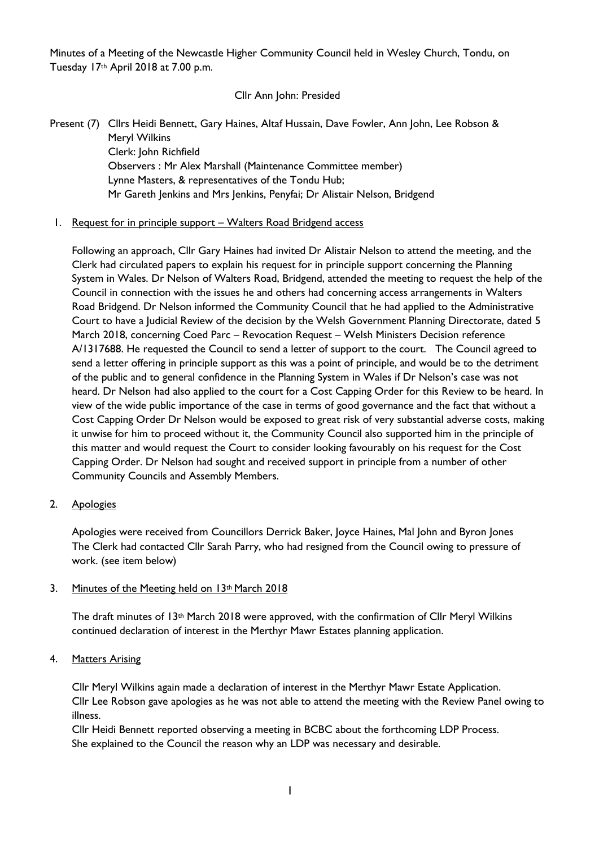Minutes of a Meeting of the Newcastle Higher Community Council held in Wesley Church, Tondu, on Tuesday 17th April 2018 at 7.00 p.m.

Cllr Ann John: Presided

Present (7) Cllrs Heidi Bennett, Gary Haines, Altaf Hussain, Dave Fowler, Ann John, Lee Robson & Meryl Wilkins Clerk: John Richfield Observers : Mr Alex Marshall (Maintenance Committee member) Lynne Masters, & representatives of the Tondu Hub; Mr Gareth Jenkins and Mrs Jenkins, Penyfai; Dr Alistair Nelson, Bridgend

## 1. Request for in principle support – Walters Road Bridgend access

Following an approach, Cllr Gary Haines had invited Dr Alistair Nelson to attend the meeting, and the Clerk had circulated papers to explain his request for in principle support concerning the Planning System in Wales. Dr Nelson of Walters Road, Bridgend, attended the meeting to request the help of the Council in connection with the issues he and others had concerning access arrangements in Walters Road Bridgend. Dr Nelson informed the Community Council that he had applied to the Administrative Court to have a Judicial Review of the decision by the Welsh Government Planning Directorate, dated 5 March 2018, concerning Coed Parc – Revocation Request – Welsh Ministers Decision reference A/1317688. He requested the Council to send a letter of support to the court. The Council agreed to send a letter offering in principle support as this was a point of principle, and would be to the detriment of the public and to general confidence in the Planning System in Wales if Dr Nelson's case was not heard. Dr Nelson had also applied to the court for a Cost Capping Order for this Review to be heard. In view of the wide public importance of the case in terms of good governance and the fact that without a Cost Capping Order Dr Nelson would be exposed to great risk of very substantial adverse costs, making it unwise for him to proceed without it, the Community Council also supported him in the principle of this matter and would request the Court to consider looking favourably on his request for the Cost Capping Order. Dr Nelson had sought and received support in principle from a number of other Community Councils and Assembly Members.

## 2. Apologies

Apologies were received from Councillors Derrick Baker, Joyce Haines, Mal John and Byron Jones The Clerk had contacted Cllr Sarah Parry, who had resigned from the Council owing to pressure of work. (see item below)

#### 3. Minutes of the Meeting held on 13th March 2018

The draft minutes of  $13<sup>th</sup>$  March 2018 were approved, with the confirmation of Cllr Meryl Wilkins continued declaration of interest in the Merthyr Mawr Estates planning application.

#### 4. Matters Arising

Cllr Meryl Wilkins again made a declaration of interest in the Merthyr Mawr Estate Application. Cllr Lee Robson gave apologies as he was not able to attend the meeting with the Review Panel owing to illness.

Cllr Heidi Bennett reported observing a meeting in BCBC about the forthcoming LDP Process. She explained to the Council the reason why an LDP was necessary and desirable.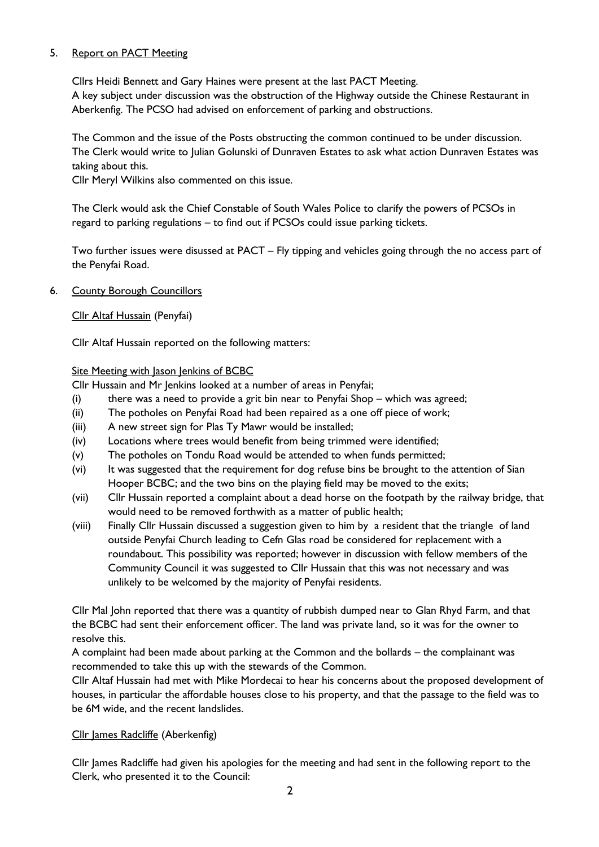# 5. Report on PACT Meeting

Cllrs Heidi Bennett and Gary Haines were present at the last PACT Meeting. A key subject under discussion was the obstruction of the Highway outside the Chinese Restaurant in Aberkenfig. The PCSO had advised on enforcement of parking and obstructions.

The Common and the issue of the Posts obstructing the common continued to be under discussion. The Clerk would write to Julian Golunski of Dunraven Estates to ask what action Dunraven Estates was taking about this.

Cllr Meryl Wilkins also commented on this issue.

The Clerk would ask the Chief Constable of South Wales Police to clarify the powers of PCSOs in regard to parking regulations – to find out if PCSOs could issue parking tickets.

Two further issues were disussed at PACT – Fly tipping and vehicles going through the no access part of the Penyfai Road.

6. County Borough Councillors

Cllr Altaf Hussain (Penyfai)

Cllr Altaf Hussain reported on the following matters:

## Site Meeting with Jason Jenkins of BCBC

Cllr Hussain and Mr Jenkins looked at a number of areas in Penyfai;

- (i) there was a need to provide a grit bin near to Penyfai Shop which was agreed;
- (ii) The potholes on Penyfai Road had been repaired as a one off piece of work;
- (iii) A new street sign for Plas Ty Mawr would be installed;
- (iv) Locations where trees would benefit from being trimmed were identified;
- (v) The potholes on Tondu Road would be attended to when funds permitted;
- (vi) It was suggested that the requirement for dog refuse bins be brought to the attention of Sian Hooper BCBC; and the two bins on the playing field may be moved to the exits;
- (vii) Cllr Hussain reported a complaint about a dead horse on the footpath by the railway bridge, that would need to be removed forthwith as a matter of public health;
- (viii) Finally Cllr Hussain discussed a suggestion given to him by a resident that the triangle of land outside Penyfai Church leading to Cefn Glas road be considered for replacement with a roundabout. This possibility was reported; however in discussion with fellow members of the Community Council it was suggested to Cllr Hussain that this was not necessary and was unlikely to be welcomed by the majority of Penyfai residents.

Cllr Mal John reported that there was a quantity of rubbish dumped near to Glan Rhyd Farm, and that the BCBC had sent their enforcement officer. The land was private land, so it was for the owner to resolve this.

A complaint had been made about parking at the Common and the bollards – the complainant was recommended to take this up with the stewards of the Common.

Cllr Altaf Hussain had met with Mike Mordecai to hear his concerns about the proposed development of houses, in particular the affordable houses close to his property, and that the passage to the field was to be 6M wide, and the recent landslides.

## Cllr James Radcliffe (Aberkenfig)

Cllr James Radcliffe had given his apologies for the meeting and had sent in the following report to the Clerk, who presented it to the Council: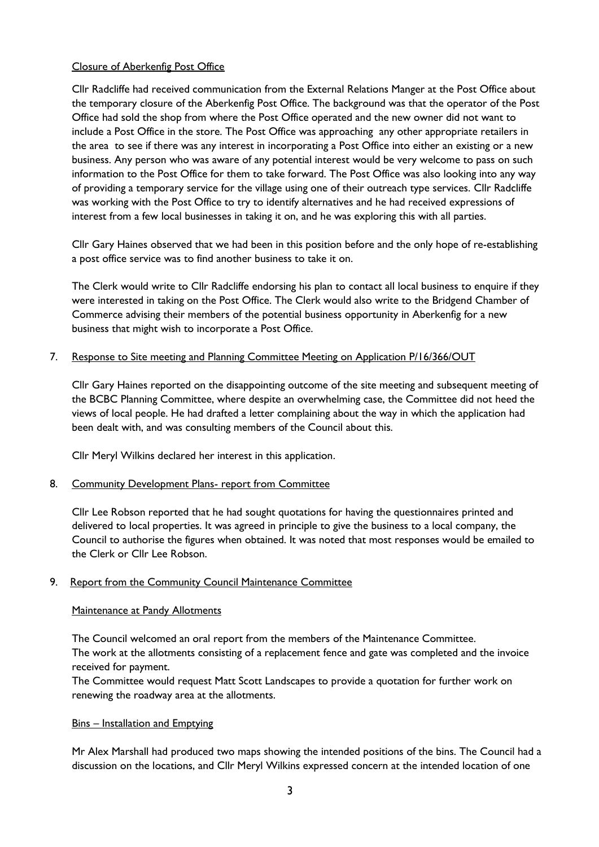## Closure of Aberkenfig Post Office

Cllr Radcliffe had received communication from the External Relations Manger at the Post Office about the temporary closure of the Aberkenfig Post Office. The background was that the operator of the Post Office had sold the shop from where the Post Office operated and the new owner did not want to include a Post Office in the store. The Post Office was approaching any other appropriate retailers in the area to see if there was any interest in incorporating a Post Office into either an existing or a new business. Any person who was aware of any potential interest would be very welcome to pass on such information to the Post Office for them to take forward. The Post Office was also looking into any way of providing a temporary service for the village using one of their outreach type services. Cllr Radcliffe was working with the Post Office to try to identify alternatives and he had received expressions of interest from a few local businesses in taking it on, and he was exploring this with all parties.

Cllr Gary Haines observed that we had been in this position before and the only hope of re-establishing a post office service was to find another business to take it on.

The Clerk would write to Cllr Radcliffe endorsing his plan to contact all local business to enquire if they were interested in taking on the Post Office. The Clerk would also write to the Bridgend Chamber of Commerce advising their members of the potential business opportunity in Aberkenfig for a new business that might wish to incorporate a Post Office.

#### 7. Response to Site meeting and Planning Committee Meeting on Application P/16/366/OUT

Cllr Gary Haines reported on the disappointing outcome of the site meeting and subsequent meeting of the BCBC Planning Committee, where despite an overwhelming case, the Committee did not heed the views of local people. He had drafted a letter complaining about the way in which the application had been dealt with, and was consulting members of the Council about this.

Cllr Meryl Wilkins declared her interest in this application.

#### 8. Community Development Plans- report from Committee

Cllr Lee Robson reported that he had sought quotations for having the questionnaires printed and delivered to local properties. It was agreed in principle to give the business to a local company, the Council to authorise the figures when obtained. It was noted that most responses would be emailed to the Clerk or Cllr Lee Robson.

#### 9. Report from the Community Council Maintenance Committee

#### Maintenance at Pandy Allotments

The Council welcomed an oral report from the members of the Maintenance Committee. The work at the allotments consisting of a replacement fence and gate was completed and the invoice received for payment.

The Committee would request Matt Scott Landscapes to provide a quotation for further work on renewing the roadway area at the allotments.

#### Bins – Installation and Emptying

Mr Alex Marshall had produced two maps showing the intended positions of the bins. The Council had a discussion on the locations, and Cllr Meryl Wilkins expressed concern at the intended location of one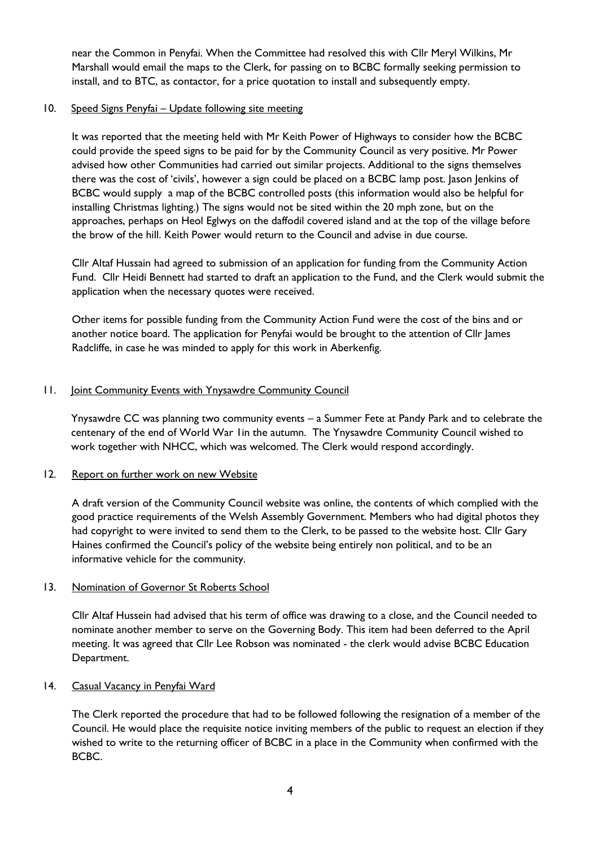near the Common in Penyfai. When the Committee had resolved this with Cllr Meryl Wilkins, Mr Marshall would email the maps to the Clerk, for passing on to BCBC formally seeking permission to install, and to BTC, as contactor, for a price quotation to install and subsequently empty.

## 10. Speed Signs Penyfai – Update following site meeting

It was reported that the meeting held with Mr Keith Power of Highways to consider how the BCBC could provide the speed signs to be paid for by the Community Council as very positive. Mr Power advised how other Communities had carried out similar projects. Additional to the signs themselves there was the cost of 'civils', however a sign could be placed on a BCBC lamp post. Jason Jenkins of BCBC would supply a map of the BCBC controlled posts (this information would also be helpful for installing Christmas lighting.) The signs would not be sited within the 20 mph zone, but on the approaches, perhaps on Heol Eglwys on the daffodil covered island and at the top of the village before the brow of the hill. Keith Power would return to the Council and advise in due course.

Cllr Altaf Hussain had agreed to submission of an application for funding from the Community Action Fund. Cllr Heidi Bennett had started to draft an application to the Fund, and the Clerk would submit the application when the necessary quotes were received.

Other items for possible funding from the Community Action Fund were the cost of the bins and or another notice board. The application for Penyfai would be brought to the attention of Cllr James Radcliffe, in case he was minded to apply for this work in Aberkenfig.

## 11. Joint Community Events with Ynysawdre Community Council

Ynysawdre CC was planning two community events – a Summer Fete at Pandy Park and to celebrate the centenary of the end of World War 1in the autumn. The Ynysawdre Community Council wished to work together with NHCC, which was welcomed. The Clerk would respond accordingly.

## 12. Report on further work on new Website

A draft version of the Community Council website was online, the contents of which complied with the good practice requirements of the Welsh Assembly Government. Members who had digital photos they had copyright to were invited to send them to the Clerk, to be passed to the website host. Cllr Gary Haines confirmed the Council's policy of the website being entirely non political, and to be an informative vehicle for the community.

## 13. Nomination of Governor St Roberts School

Cllr Altaf Hussein had advised that his term of office was drawing to a close, and the Council needed to nominate another member to serve on the Governing Body. This item had been deferred to the April meeting. It was agreed that Cllr Lee Robson was nominated - the clerk would advise BCBC Education Department.

#### 14. Casual Vacancy in Penyfai Ward

The Clerk reported the procedure that had to be followed following the resignation of a member of the Council. He would place the requisite notice inviting members of the public to request an election if they wished to write to the returning officer of BCBC in a place in the Community when confirmed with the BCBC.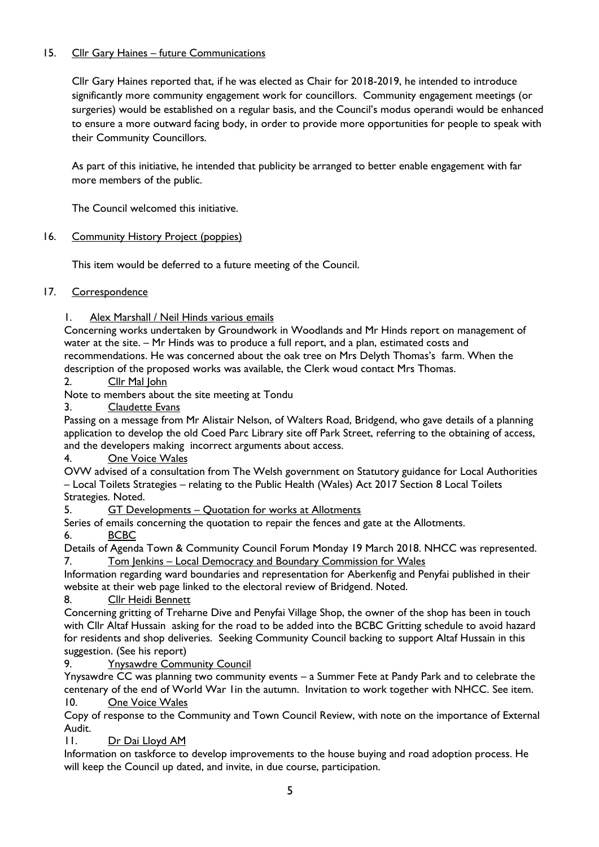# 15. Cllr Gary Haines - future Communications

Cllr Gary Haines reported that, if he was elected as Chair for 2018-2019, he intended to introduce significantly more community engagement work for councillors. Community engagement meetings (or surgeries) would be established on a regular basis, and the Council's modus operandi would be enhanced to ensure a more outward facing body, in order to provide more opportunities for people to speak with their Community Councillors.

As part of this initiative, he intended that publicity be arranged to better enable engagement with far more members of the public.

The Council welcomed this initiative.

# 16. Community History Project (poppies)

This item would be deferred to a future meeting of the Council.

## 17. Correspondence

# 1. Alex Marshall / Neil Hinds various emails

Concerning works undertaken by Groundwork in Woodlands and Mr Hinds report on management of water at the site. – Mr Hinds was to produce a full report, and a plan, estimated costs and recommendations. He was concerned about the oak tree on Mrs Delyth Thomas's farm. When the description of the proposed works was available, the Clerk woud contact Mrs Thomas.

2. Cllr Mal John

Note to members about the site meeting at Tondu

3. Claudette Evans

Passing on a message from Mr Alistair Nelson, of Walters Road, Bridgend, who gave details of a planning application to develop the old Coed Parc Library site off Park Street, referring to the obtaining of access, and the developers making incorrect arguments about access.

4. One Voice Wales

OVW advised of a consultation from The Welsh government on Statutory guidance for Local Authorities – Local Toilets Strategies – relating to the Public Health (Wales) Act 2017 Section 8 Local Toilets Strategies. Noted.

5. GT Developments – Quotation for works at Allotments

Series of emails concerning the quotation to repair the fences and gate at the Allotments.

6. BCBC

Details of Agenda Town & Community Council Forum Monday 19 March 2018. NHCC was represented. 7. Tom Jenkins – Local Democracy and Boundary Commission for Wales

Information regarding ward boundaries and representation for Aberkenfig and Penyfai published in their website at their web page linked to the electoral review of Bridgend. Noted.

8. Cllr Heidi Bennett

Concerning gritting of Treharne Dive and Penyfai Village Shop, the owner of the shop has been in touch with Cllr Altaf Hussain asking for the road to be added into the BCBC Gritting schedule to avoid hazard for residents and shop deliveries. Seeking Community Council backing to support Altaf Hussain in this suggestion. (See his report)

9. Ynysawdre Community Council

Ynysawdre CC was planning two community events – a Summer Fete at Pandy Park and to celebrate the centenary of the end of World War 1in the autumn. Invitation to work together with NHCC. See item. 10. One Voice Wales

Copy of response to the Community and Town Council Review, with note on the importance of External Audit.

11. Dr Dai Lloyd AM

Information on taskforce to develop improvements to the house buying and road adoption process. He will keep the Council up dated, and invite, in due course, participation.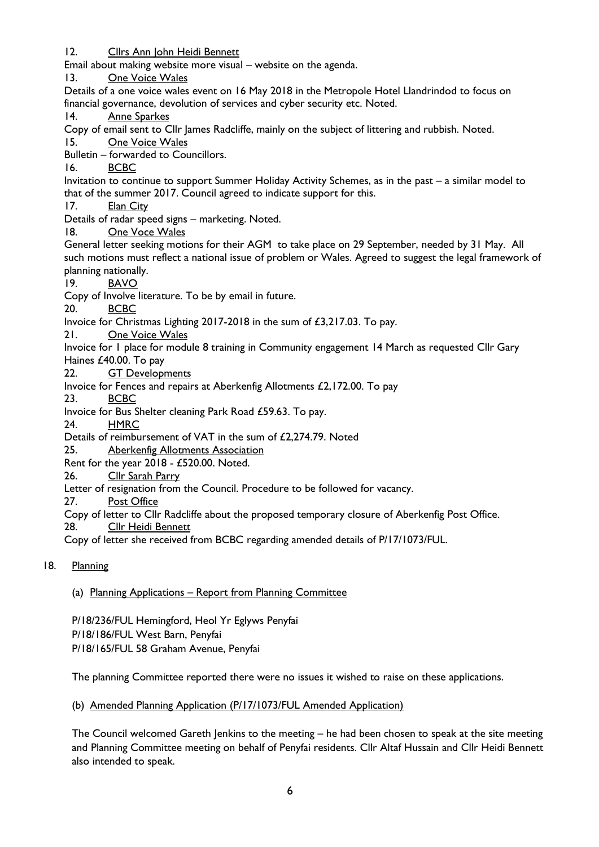12. Cllrs Ann John Heidi Bennett Email about making website more visual – website on the agenda. 13. One Voice Wales Details of a one voice wales event on 16 May 2018 in the Metropole Hotel Llandrindod to focus on financial governance, devolution of services and cyber security etc. Noted. 14. Anne Sparkes Copy of email sent to Cllr lames Radcliffe, mainly on the subject of littering and rubbish. Noted. 15. One Voice Wales Bulletin – forwarded to Councillors. 16. BCBC Invitation to continue to support Summer Holiday Activity Schemes, as in the past – a similar model to that of the summer 2017. Council agreed to indicate support for this. 17. Elan City Details of radar speed signs – marketing. Noted. 18. One Voce Wales General letter seeking motions for their AGM to take place on 29 September, needed by 31 May. All such motions must reflect a national issue of problem or Wales. Agreed to suggest the legal framework of planning nationally. 19. BAVO Copy of Involve literature. To be by email in future. 20. BCBC Invoice for Christmas Lighting 2017-2018 in the sum of £3,217.03. To pay. 21. One Voice Wales Invoice for 1 place for module 8 training in Community engagement 14 March as requested Cllr Gary Haines £40.00. To pay 22. GT Developments Invoice for Fences and repairs at Aberkenfig Allotments £2,172.00. To pay 23. BCBC Invoice for Bus Shelter cleaning Park Road £59.63. To pay. 24. HMRC Details of reimbursement of VAT in the sum of £2,274.79. Noted 25. Aberkenfig Allotments Association Rent for the year 2018 - £520.00. Noted. 26. Cllr Sarah Parry Letter of resignation from the Council. Procedure to be followed for vacancy. 27. Post Office Copy of letter to Cllr Radcliffe about the proposed temporary closure of Aberkenfig Post Office. 28. Cllr Heidi Bennett Copy of letter she received from BCBC regarding amended details of P/17/1073/FUL.

# 18. Planning

## (a) Planning Applications – Report from Planning Committee

P/18/236/FUL Hemingford, Heol Yr Eglyws Penyfai P/18/186/FUL West Barn, Penyfai P/18/165/FUL 58 Graham Avenue, Penyfai

The planning Committee reported there were no issues it wished to raise on these applications.

#### (b) Amended Planning Application (P/17/1073/FUL Amended Application)

The Council welcomed Gareth Jenkins to the meeting – he had been chosen to speak at the site meeting and Planning Committee meeting on behalf of Penyfai residents. Cllr Altaf Hussain and Cllr Heidi Bennett also intended to speak.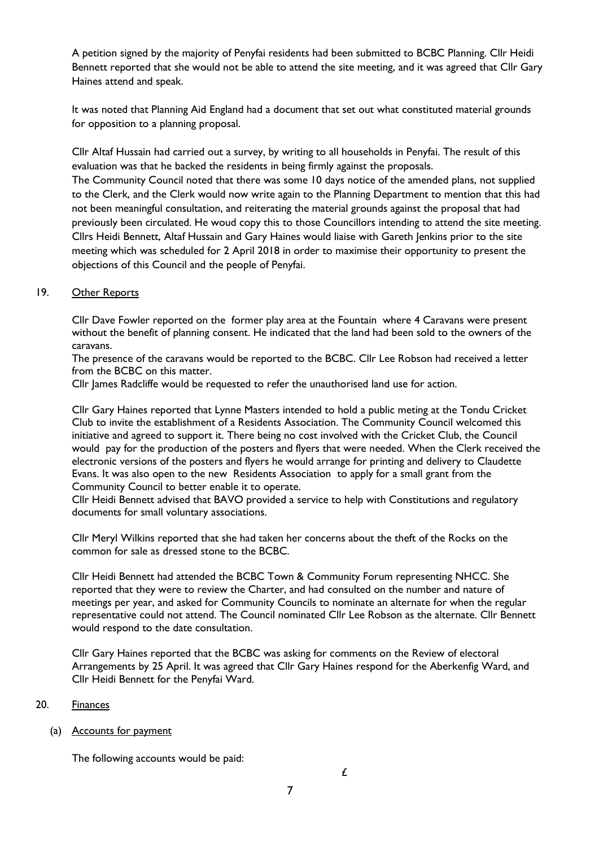A petition signed by the majority of Penyfai residents had been submitted to BCBC Planning. Cllr Heidi Bennett reported that she would not be able to attend the site meeting, and it was agreed that Cllr Gary Haines attend and speak.

It was noted that Planning Aid England had a document that set out what constituted material grounds for opposition to a planning proposal.

Cllr Altaf Hussain had carried out a survey, by writing to all households in Penyfai. The result of this evaluation was that he backed the residents in being firmly against the proposals.

The Community Council noted that there was some 10 days notice of the amended plans, not supplied to the Clerk, and the Clerk would now write again to the Planning Department to mention that this had not been meaningful consultation, and reiterating the material grounds against the proposal that had previously been circulated. He woud copy this to those Councillors intending to attend the site meeting. Cllrs Heidi Bennett, Altaf Hussain and Gary Haines would liaise with Gareth Jenkins prior to the site meeting which was scheduled for 2 April 2018 in order to maximise their opportunity to present the objections of this Council and the people of Penyfai.

### 19. Other Reports

Cllr Dave Fowler reported on the former play area at the Fountain where 4 Caravans were present without the benefit of planning consent. He indicated that the land had been sold to the owners of the caravans.

The presence of the caravans would be reported to the BCBC. Cllr Lee Robson had received a letter from the BCBC on this matter.

Cllr James Radcliffe would be requested to refer the unauthorised land use for action.

Cllr Gary Haines reported that Lynne Masters intended to hold a public meting at the Tondu Cricket Club to invite the establishment of a Residents Association. The Community Council welcomed this initiative and agreed to support it. There being no cost involved with the Cricket Club, the Council would pay for the production of the posters and flyers that were needed. When the Clerk received the electronic versions of the posters and flyers he would arrange for printing and delivery to Claudette Evans. It was also open to the new Residents Association to apply for a small grant from the Community Council to better enable it to operate.

Cllr Heidi Bennett advised that BAVO provided a service to help with Constitutions and regulatory documents for small voluntary associations.

Cllr Meryl Wilkins reported that she had taken her concerns about the theft of the Rocks on the common for sale as dressed stone to the BCBC.

Cllr Heidi Bennett had attended the BCBC Town & Community Forum representing NHCC. She reported that they were to review the Charter, and had consulted on the number and nature of meetings per year, and asked for Community Councils to nominate an alternate for when the regular representative could not attend. The Council nominated Cllr Lee Robson as the alternate. Cllr Bennett would respond to the date consultation.

Cllr Gary Haines reported that the BCBC was asking for comments on the Review of electoral Arrangements by 25 April. It was agreed that Cllr Gary Haines respond for the Aberkenfig Ward, and Cllr Heidi Bennett for the Penyfai Ward.

#### 20. Finances

(a) Accounts for payment

The following accounts would be paid: